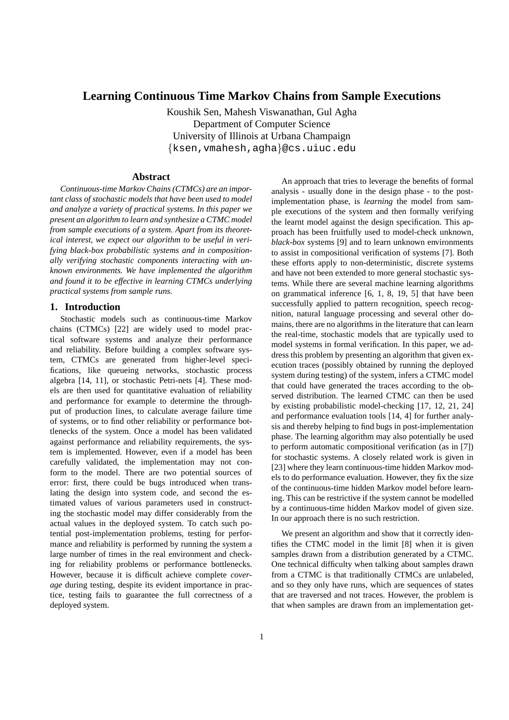# **Learning Continuous Time Markov Chains from Sample Executions**

Koushik Sen, Mahesh Viswanathan, Gul Agha Department of Computer Science University of Illinois at Urbana Champaign {ksen,vmahesh,agha}@cs.uiuc.edu

### **Abstract**

*Continuous-time Markov Chains (CTMCs) are an important class of stochastic models that have been used to model and analyze a variety of practical systems. In this paper we present an algorithm to learn and synthesize a CTMC model from sample executions of a system. Apart from its theoretical interest, we expect our algorithm to be useful in verifying black-box probabilistic systems and in compositionally verifying stochastic components interacting with unknown environments. We have implemented the algorithm and found it to be effective in learning CTMCs underlying practical systems from sample runs.*

## **1. Introduction**

Stochastic models such as continuous-time Markov chains (CTMCs) [22] are widely used to model practical software systems and analyze their performance and reliability. Before building a complex software system, CTMCs are generated from higher-level specifications, like queueing networks, stochastic process algebra [14, 11], or stochastic Petri-nets [4]. These models are then used for quantitative evaluation of reliability and performance for example to determine the throughput of production lines, to calculate average failure time of systems, or to find other reliability or performance bottlenecks of the system. Once a model has been validated against performance and reliability requirements, the system is implemented. However, even if a model has been carefully validated, the implementation may not conform to the model. There are two potential sources of error: first, there could be bugs introduced when translating the design into system code, and second the estimated values of various parameters used in constructing the stochastic model may differ considerably from the actual values in the deployed system. To catch such potential post-implementation problems, testing for performance and reliability is performed by running the system a large number of times in the real environment and checking for reliability problems or performance bottlenecks. However, because it is difficult achieve complete *coverage* during testing, despite its evident importance in practice, testing fails to guarantee the full correctness of a deployed system.

An approach that tries to leverage the benefits of formal analysis - usually done in the design phase - to the postimplementation phase, is *learning* the model from sample executions of the system and then formally verifying the learnt model against the design specification. This approach has been fruitfully used to model-check unknown, *black-box* systems [9] and to learn unknown environments to assist in compositional verification of systems [7]. Both these efforts apply to non-deterministic, discrete systems and have not been extended to more general stochastic systems. While there are several machine learning algorithms on grammatical inference [6, 1, 8, 19, 5] that have been successfully applied to pattern recognition, speech recognition, natural language processing and several other domains, there are no algorithms in the literature that can learn the real-time, stochastic models that are typically used to model systems in formal verification. In this paper, we address this problem by presenting an algorithm that given execution traces (possibly obtained by running the deployed system during testing) of the system, infers a CTMC model that could have generated the traces according to the observed distribution. The learned CTMC can then be used by existing probabilistic model-checking [17, 12, 21, 24] and performance evaluation tools [14, 4] for further analysis and thereby helping to find bugs in post-implementation phase. The learning algorithm may also potentially be used to perform automatic compositional verification (as in [7]) for stochastic systems. A closely related work is given in [23] where they learn continuous-time hidden Markov models to do performance evaluation. However, they fix the size of the continuous-time hidden Markov model before learning. This can be restrictive if the system cannot be modelled by a continuous-time hidden Markov model of given size. In our approach there is no such restriction.

We present an algorithm and show that it correctly identifies the CTMC model in the limit [8] when it is given samples drawn from a distribution generated by a CTMC. One technical difficulty when talking about samples drawn from a CTMC is that traditionally CTMCs are unlabeled, and so they only have runs, which are sequences of states that are traversed and not traces. However, the problem is that when samples are drawn from an implementation get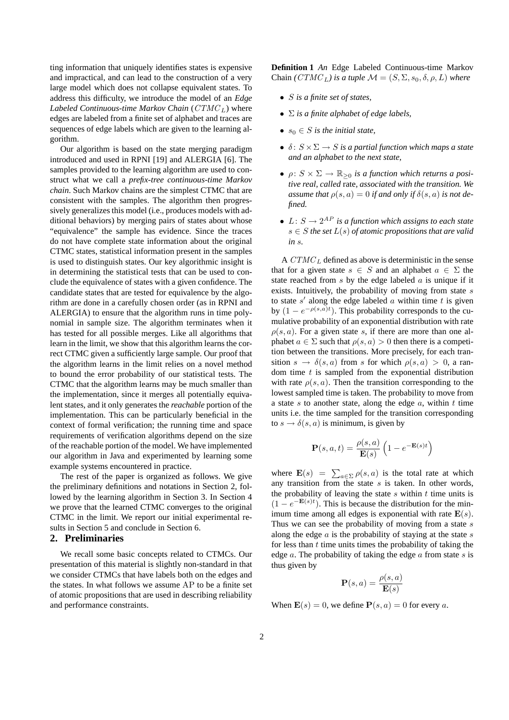ting information that uniquely identifies states is expensive and impractical, and can lead to the construction of a very large model which does not collapse equivalent states. To address this difficulty, we introduce the model of an *Edge Labeled Continuous-time Markov Chain* ( $CTMC_L$ ) where edges are labeled from a finite set of alphabet and traces are sequences of edge labels which are given to the learning algorithm.

Our algorithm is based on the state merging paradigm introduced and used in RPNI [19] and ALERGIA [6]. The samples provided to the learning algorithm are used to construct what we call a *prefix-tree continuous-time Markov chain*. Such Markov chains are the simplest CTMC that are consistent with the samples. The algorithm then progressively generalizes this model (i.e., produces models with additional behaviors) by merging pairs of states about whose "equivalence" the sample has evidence. Since the traces do not have complete state information about the original CTMC states, statistical information present in the samples is used to distinguish states. Our key algorithmic insight is in determining the statistical tests that can be used to conclude the equivalence of states with a given confidence. The candidate states that are tested for equivalence by the algorithm are done in a carefully chosen order (as in RPNI and ALERGIA) to ensure that the algorithm runs in time polynomial in sample size. The algorithm terminates when it has tested for all possible merges. Like all algorithms that learn in the limit, we show that this algorithm learns the correct CTMC given a sufficiently large sample. Our proof that the algorithm learns in the limit relies on a novel method to bound the error probability of our statistical tests. The CTMC that the algorithm learns may be much smaller than the implementation, since it merges all potentially equivalent states, and it only generates the *reachable* portion of the implementation. This can be particularly beneficial in the context of formal verification; the running time and space requirements of verification algorithms depend on the size of the reachable portion of the model. We have implemented our algorithm in Java and experimented by learning some example systems encountered in practice.

The rest of the paper is organized as follows. We give the preliminary definitions and notations in Section 2, followed by the learning algorithm in Section 3. In Section 4 we prove that the learned CTMC converges to the original CTMC in the limit. We report our initial experimental results in Section 5 and conclude in Section 6.

## **2. Preliminaries**

We recall some basic concepts related to CTMCs. Our presentation of this material is slightly non-standard in that we consider CTMCs that have labels both on the edges and the states. In what follows we assume AP to be a finite set of atomic propositions that are used in describing reliability and performance constraints.

**Definition 1** *An* Edge Labeled Continuous-time Markov Chain *(CTMC<sub>L</sub>)* is a tuple  $\mathcal{M} = (S, \Sigma, s_0, \delta, \rho, L)$  where

- S *is a finite set of states,*
- Σ *is a finite alphabet of edge labels,*
- $s_0 \in S$  *is the initial state,*
- $\delta: S \times \Sigma \rightarrow S$  *is a partial function which maps a state and an alphabet to the next state,*
- $\rho: S \times \Sigma \to \mathbb{R}_{\geq 0}$  *is a function which returns a positive real, called* rate*, associated with the transition. We assume that*  $\rho(s, a) = 0$  *if and only if*  $\delta(s, a)$  *is not defined.*
- $L: S \rightarrow 2^{AP}$  *is a function which assigns to each state* s ∈ S *the set* L(s) *of atomic propositions that are valid in* s*.*

A  $CTMC<sub>L</sub>$  defined as above is deterministic in the sense that for a given state  $s \in S$  and an alphabet  $a \in \Sigma$  the state reached from  $s$  by the edge labeled  $\alpha$  is unique if it exists. Intuitively, the probability of moving from state  $s$ to state  $s'$  along the edge labeled  $a$  within time  $t$  is given by  $(1 - e^{-\rho(s,a)t})$ . This probability corresponds to the cumulative probability of an exponential distribution with rate  $\rho(s, a)$ . For a given state s, if there are more than one alphabet  $a \in \Sigma$  such that  $\rho(s, a) > 0$  then there is a competition between the transitions. More precisely, for each transition  $s \to \delta(s, a)$  from s for which  $\rho(s, a) > 0$ , a random time  $t$  is sampled from the exponential distribution with rate  $\rho(s, a)$ . Then the transition corresponding to the lowest sampled time is taken. The probability to move from a state s to another state, along the edge  $a$ , within  $t$  time units i.e. the time sampled for the transition corresponding to  $s \to \delta(s, a)$  is minimum, is given by

$$
\mathbf{P}(s, a, t) = \frac{\rho(s, a)}{\mathbf{E}(s)} \left( 1 - e^{-\mathbf{E}(s)t} \right)
$$

where  $\mathbf{E}(s) = \sum_{a \in \Sigma} \rho(s, a)$  is the total rate at which any transition from the state  $s$  is taken. In other words, the probability of leaving the state  $s$  within  $t$  time units is  $(1 - e^{-\mathbf{E}(s)t})$ . This is because the distribution for the minimum time among all edges is exponential with rate  $E(s)$ . Thus we can see the probability of moving from a state  $s$ along the edge  $\alpha$  is the probability of staying at the state  $s$ for less than  $t$  time units times the probability of taking the edge  $a$ . The probability of taking the edge  $a$  from state  $s$  is thus given by

$$
\mathbf{P}(s,a) = \frac{\rho(s,a)}{\mathbf{E}(s)}
$$

When  $\mathbf{E}(s) = 0$ , we define  $\mathbf{P}(s, a) = 0$  for every a.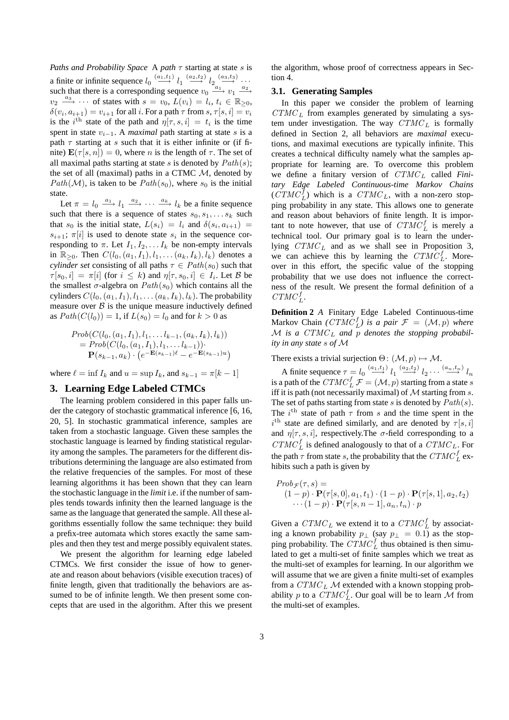*Paths and Probability Space* A *path* τ starting at state s is a finite or infinite sequence  $l_0 \stackrel{(a_1,t_1)}{\longrightarrow} l_1 \stackrel{(a_2,t_2)}{\longrightarrow} l_2 \stackrel{(a_3,t_3)}{\longrightarrow} \cdots$ such that there is a corresponding sequence  $v_0 \xrightarrow{z_{0}} v_1 \xrightarrow{a_2}$  $v_2 \stackrel{a_3}{\longrightarrow} \cdots$  of states with  $s = v_0$ ,  $L(v_i) = l_i$ ,  $t_i \in \mathbb{R}_{\geq 0}$ ,  $\delta(v_i, a_{i+1}) = v_{i+1}$  for all i. For a path  $\tau$  from  $s, \tau[s, i] = v_i$ is the *i*<sup>th</sup> state of the path and  $\eta[\tau, s, i] = t_i$  is the time spent in state  $v_{i-1}$ . A *maximal* path starting at state s is a path  $\tau$  starting at s such that it is either infinite or (if finite)  $\mathbf{E}(\tau[s, n]) = 0$ , where *n* is the length of  $\tau$ . The set of all maximal paths starting at state s is denoted by  $Path(s)$ ; the set of all (maximal) paths in a CTMC  $M$ , denoted by  $Path(\mathcal{M})$ , is taken to be  $Path(s_0)$ , where  $s_0$  is the initial state.

Let  $\pi = l_0 \stackrel{a_1}{\longrightarrow} l_1 \stackrel{a_2}{\longrightarrow} \cdots \stackrel{a_k}{\longrightarrow} l_k$  be a finite sequence such that there is a sequence of states  $s_0, s_1, \ldots s_k$  such that  $s_0$  is the initial state,  $L(s_i) = l_i$  and  $\delta(s_i, a_{i+1}) =$  $s_{i+1}$ ;  $\pi[i]$  is used to denote state  $s_i$  in the sequence corresponding to  $\pi$ . Let  $I_1, I_2, \ldots I_k$  be non-empty intervals in  $\mathbb{R}_{\geq 0}$ . Then  $C(l_0, (a_1, I_1), l_1, \ldots (a_k, I_k), l_k)$  denotes a *cylinder set* consisting of all paths  $\tau \in Path(s_0)$  such that  $\tau[s_0, i] = \pi[i]$  (for  $i \leq k$ ) and  $\eta[\tau, s_0, i] \in I_i$ . Let  $\mathcal{B}$  be the smallest  $\sigma$ -algebra on  $Path(s_0)$  which contains all the cylinders  $C(l_0, (a_1, I_1), l_1, \ldots (a_k, I_k), l_k)$ . The probability measure over  $\beta$  is the unique measure inductively defined as  $Path(C(l_0)) = 1$ , if  $L(s_0) = l_0$  and for  $k > 0$  as

$$
Prob(C(l_0, (a_1, I_1), l_1, \ldots l_{k-1}, (a_k, I_k), l_k))
$$
  
= Prob(C(l\_0, (a\_1, I\_1), l\_1, \ldots l\_{k-1}))  

$$
\mathbf{P}(s_{k-1}, a_k) \cdot (e^{-\mathbf{E}(s_{k-1})\ell} - e^{-\mathbf{E}(s_{k-1})u})
$$

where  $\ell = \inf I_k$  and  $u = \sup I_k$ , and  $s_{k-1} = \pi[k-1]$ 

### **3. Learning Edge Labeled CTMCs**

The learning problem considered in this paper falls under the category of stochastic grammatical inference [6, 16, 20, 5]. In stochastic grammatical inference, samples are taken from a stochastic language. Given these samples the stochastic language is learned by finding statistical regularity among the samples. The parameters for the different distributions determining the language are also estimated from the relative frequencies of the samples. For most of these learning algorithms it has been shown that they can learn the stochastic language in the *limit* i.e. if the number of samples tends towards infinity then the learned language is the same as the language that generated the sample. All these algorithms essentially follow the same technique: they build a prefix-tree automata which stores exactly the same samples and then they test and merge possibly equivalent states.

We present the algorithm for learning edge labeled CTMCs. We first consider the issue of how to generate and reason about behaviors (visible execution traces) of finite length, given that traditionally the behaviors are assumed to be of infinite length. We then present some concepts that are used in the algorithm. After this we present the algorithm, whose proof of correctness appears in Section 4.

### **3.1. Generating Samples**

In this paper we consider the problem of learning  $CTMC<sub>L</sub>$  from examples generated by simulating a system under investigation. The way  $CTMC<sub>L</sub>$  is formally defined in Section 2, all behaviors are *maximal* executions, and maximal executions are typically infinite. This creates a technical difficulty namely what the samples appropriate for learning are. To overcome this problem we define a finitary version of  $CTMC<sub>L</sub>$  called *Finitary Edge Labeled Continuous-time Markov Chains*  $(\overrightarrow{CTMC}_L^{\tilde{f}})$  which is a  $CTMC_L$ , with a non-zero stopping probability in any state. This allows one to generate and reason about behaviors of finite length. It is important to note however, that use of  $CTMC<sub>L</sub><sup>f</sup>$  is merely a technical tool. Our primary goal is to learn the underlying  $CTMC<sub>L</sub>$  and as we shall see in Proposition 3, we can achieve this by learning the  $CTM\tilde{C}_L^f$ . Moreover in this effort, the specific value of the stopping probability that we use does not influence the correctness of the result. We present the formal definition of a  $CTMC_{L}^{f}$ .

**Definition 2** *A* Finitary Edge Labeled Continuous-time Markov Chain *(CTMC* $_L^f$ ) is a pair  $\mathcal{F} = (\mathcal{M}, p)$  where  $M$  *is a CTMC<sub>L</sub>* and p denotes the stopping probabil*ity in any state* s *of* M

There exists a trivial surjection  $\Theta: (\mathcal{M}, p) \mapsto \mathcal{M}$ .

A finite sequence  $\tau = l_0 \stackrel{(a_1, t_1)}{\longrightarrow} l_1 \stackrel{(a_2, t_2)}{\longrightarrow} l_2 \cdots \stackrel{(a_n, t_n)}{\longrightarrow} l_n$ is a path of the  $\mathit{CTMC}_L^f\, \mathcal{F} = (\mathcal{M}, p)$  starting from a state  $s$ iff it is path (not necessarily maximal) of  $M$  starting from s. The set of paths starting from state s is denoted by  $Path(s)$ . The  $i^{\text{th}}$  state of path  $\tau$  from s and the time spent in the  $i^{\text{th}}$  state are defined similarly, and are denoted by  $\tau[s, i]$ and  $\eta[\tau, s, i]$ , respectively. The  $\sigma$ -field corresponding to a  $CTMC<sub>L</sub><sup>f</sup>$  is defined analogously to that of a  $CTMC<sub>L</sub>$ . For the path  $\tau$  from state s, the probability that the  $CTMC_L^f$  exhibits such a path is given by

$$
Prob_{\mathcal{F}}(\tau,s) =
$$
  
(1-p) ·  $\mathbf{P}(\tau[s,0],a_1,t_1) \cdot (1-p) \cdot \mathbf{P}(\tau[s,1],a_2,t_2)$   
... (1-p) ·  $\mathbf{P}(\tau[s,n-1],a_n,t_n) \cdot p$ 

Given a  $CTMC<sub>L</sub>$  we extend it to a  $CTMC<sub>L</sub><sup>f</sup>$  by associating a known probability  $p_{\perp}$  (say  $p_{\perp} = 0.1$ ) as the stopping probability. The  $\overrightarrow{CTMC}_L^f$  thus obtained is then simulated to get a multi-set of finite samples which we treat as the multi-set of examples for learning. In our algorithm we will assume that we are given a finite multi-set of examples from a  $CTMC<sub>L</sub>$  M extended with a known stopping probability p to a  $CTMC_{L}^{f}$ . Our goal will be to learn M from the multi-set of examples.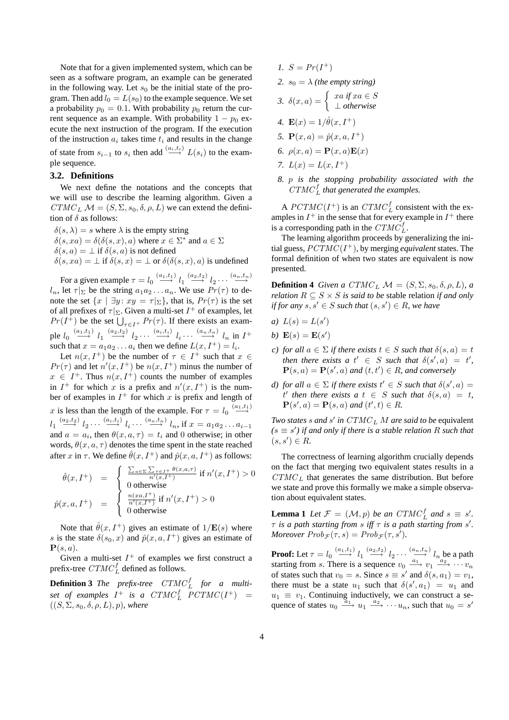Note that for a given implemented system, which can be seen as a software program, an example can be generated in the following way. Let  $s_0$  be the initial state of the program. Then add  $l_0 = L(s_0)$  to the example sequence. We set a probability  $p_0 = 0.1$ . With probability  $p_0$  return the current sequence as an example. With probability  $1 - p_0$  execute the next instruction of the program. If the execution of the instruction  $a_i$  takes time  $t_i$  and results in the change of state from  $s_{i-1}$  to  $s_i$  then add  $\stackrel{(a_i,t_i)}{\longrightarrow} L(s_i)$  to the example sequence.

## **3.2. Definitions**

We next define the notations and the concepts that we will use to describe the learning algorithm. Given a  $CTMC_L \mathcal{M} = (S, \Sigma, s_0, \delta, \rho, L)$  we can extend the definition of  $\delta$  as follows:

 $\delta(s, \lambda) = s$  where  $\lambda$  is the empty string  $\delta(s, xa) = \delta(\delta(s, x), a)$  where  $x \in \Sigma^*$  and  $a \in \Sigma$  $\delta(s, a) = \perp$  if  $\delta(s, a)$  is not defined  $\delta(s, xa) = \bot$  if  $\delta(s, x) = \bot$  or  $\delta(\delta(s, x), a)$  is undefined

For a given example  $\tau = l_0 \stackrel{(a_1, t_1)}{\longrightarrow} l_1 \stackrel{(a_2, t_2)}{\longrightarrow} l_2 \cdots \stackrel{(a_n, t_n)}{\longrightarrow}$  $l_n$ , let  $\tau|_{\Sigma}$  be the string  $a_1 a_2 \ldots a_n$ . We use  $Pr(\tau)$  to denote the set  $\{x \mid \exists y : xy = \tau | \Sigma \}$ , that is,  $Pr(\tau)$  is the set of all prefixes of  $\tau|_{\Sigma}$ . Given a multi-set  $I^{+}$  of examples, let or an prenxes or  $\tau_{\mid \Sigma}$ . Given a multi-set  $T^+$  or examples, let  $Pr(T^+)$  be the set  $\bigcup_{\tau \in T^+} Pr(\tau)$ . If there exists an example  $l_0 \stackrel{(a_1,t_1)}{\longrightarrow} l_1 \stackrel{(a_2,t_2)}{\longrightarrow} l_2 \cdots \stackrel{(a_i,t_i)}{\longrightarrow} l_i \cdots \stackrel{(a_n,t_n)}{\longrightarrow} l_n$  in  $I^+$ such that  $x = a_1 a_2 \dots a_i$  then we define  $L(x, I^+) = l_i$ .

Let  $n(x, I^+)$  be the number of  $\tau \in I^+$  such that  $x \in$  $Pr(\tau)$  and let  $n'(x, I^+)$  be  $n(x, I^+)$  minus the number of  $x \in I^+$ . Thus  $n(x, I^+)$  counts the number of examples in  $I^+$  for which x is a prefix and  $n'(x, I^+)$  is the number of examples in  $I^+$  for which x is prefix and length of x is less than the length of the example. For  $\tau = l_0 \stackrel{(a_1,t_1)}{\longrightarrow}$  $l_1 \stackrel{(a_2,t_2)}{\longrightarrow} l_2 \cdots \stackrel{(a_i,t_i)}{\longrightarrow} l_i \cdots \stackrel{(a_n,t_n)}{\longrightarrow} l_n$ , if  $x = a_1 a_2 \ldots a_{i-1}$ and  $a = a_i$ , then  $\theta(x, a, \tau) = t_i$  and 0 otherwise; in other words,  $\theta(x, a, \tau)$  denotes the time spent in the state reached after x in  $\tau$ . We define  $\hat{\theta}(x, I^+)$  and  $\hat{p}(x, a, I^+)$  as follows:

$$
\hat{\theta}(x, I^+) = \begin{cases}\n\frac{\sum_{a \in \Sigma} \sum_{\tau \in I^+} \theta(x, a, \tau)}{n'(x, I^+)} & \text{if } n'(x, I^+) > 0 \\
0 & \text{otherwise} \\
\hat{p}(x, a, I^+) = \begin{cases}\n\frac{n(xa, I^+)}{n'(x, I^+)} & \text{if } n'(x, I^+) > 0 \\
0 & \text{otherwise}\n\end{cases}\n\end{cases}
$$

Note that  $\hat{\theta}(x, I^+)$  gives an estimate of  $1/\mathbf{E}(s)$  where s is the state  $\delta(s_0, x)$  and  $\hat{p}(x, a, I^+)$  gives an estimate of  $\mathbf{P}(s, a)$ .

Given a multi-set  $I^+$  of examples we first construct a prefix-tree  $CTMC_L^f$  defined as follows.

**Definition 3** *The prefix-tree*  $CTMC_{L}^{f}$  *for a multi*set of examples  $I^+$  is a  $CTMC_L^f$   $PCTMC(I^+)$  =  $((S, \Sigma, s_0, \delta, \rho, L), p)$ *, where* 

\n- $$
S = Pr(I^+)
$$
\n- $s_0 = \lambda$  (the empty string)
\n- $\delta(x, a) = \begin{cases} xa \text{ if } xa \in S \\ \bot \text{ otherwise} \end{cases}$
\n- $\mathbf{E}(x) = 1/\hat{\theta}(x, I^+)$
\n- $\mathbf{P}(x, a) = \hat{p}(x, a, I^+)$
\n- $\theta(x, a) = \mathbf{P}(x, a)\mathbf{E}(x)$
\n

- 7.  $L(x) = L(x, I^+)$
- *8.* p *is the stopping probability associated with the*  $CTMC<sub>L</sub><sup>f</sup>$  that generated the examples.

A  $PCTMC(I^+)$  is an  $CTMC_L^f$  consistent with the examples in  $I^+$  in the sense that for every example in  $I^+$  there is a corresponding path in the  $CTMC_{L}^{f}$ .

The learning algorithm proceeds by generalizing the initial guess, PCTMC (I <sup>+</sup>), by merging *equivalent* states. The formal definition of when two states are equivalent is now presented.

**Definition 4** *Given a*  $CTMC_L$   $\mathcal{M} = (S, \Sigma, s_0, \delta, \rho, L)$ *, a relation*  $R \subseteq S \times S$  *is said to be stable relation if and only if for any*  $s, s' \in S$  *such that*  $(s, s') \in R$ *, we have* 

- *a*)  $L(s) = L(s')$
- b)  $\mathbf{E}(s) = \mathbf{E}(s')$
- *c) for all*  $a \in \Sigma$  *if there exists*  $t \in S$  *such that*  $\delta(s, a) = t$ *then there exists a*  $t' \in S$  *such that*  $\delta(s', a) = t'$ ,  $P(s, a) = P(s', a)$  and  $(t, t') \in R$ , and conversely
- *d*) for all  $a \in \Sigma$  if there exists  $t' \in S$  such that  $\delta(s', a) =$ *t'* then there exists  $a \, t \in S$  such that  $\delta(s, a) = t$ ,  $P(s', a) = P(s, a)$  *and*  $(t', t) \in R$ *.*

*Two states s and s' in*  $CTMC<sub>L</sub>$  *M are said to be* equivalent  $(s \equiv s')$  *if and only if there is a stable relation*  $R$  *such that*  $(s, s') \in R$ .

The correctness of learning algorithm crucially depends on the fact that merging two equivalent states results in a  $CTMC<sub>L</sub>$  that generates the same distribution. But before we state and prove this formally we make a simple observation about equivalent states.

**Lemma 1** Let  $\mathcal{F} = (\mathcal{M}, p)$  be an CTMC<sub>L</sub><sup>f</sup> and  $s \equiv s'$ .  $\tau$  *is a path starting from s iff*  $\tau$  *is a path starting from s'. Moreover*  $Prob_{\mathcal{F}}(\tau, s) = Prob_{\mathcal{F}}(\tau, s').$ 

**Proof:** Let  $\tau = l_0 \stackrel{(a_1,t_1)}{\longrightarrow} l_1 \stackrel{(a_2,t_2)}{\longrightarrow} l_2 \cdots \stackrel{(a_n,t_n)}{\longrightarrow} l_n$  be a path starting from s. There is a sequence  $v_0 \stackrel{a_1}{\longrightarrow} v_1 \stackrel{a_2}{\longrightarrow} \cdots v_n$ of states such that  $v_0 = s$ . Since  $s \equiv s'$  and  $\delta(s, a_1) = v_1$ , there must be a state  $u_1$  such that  $\delta(s', a_1) = u_1$  and  $u_1 \equiv v_1$ . Continuing inductively, we can construct a sequence of states  $u_0 \stackrel{a_1}{\longrightarrow} u_1 \stackrel{a_2}{\longrightarrow} \cdots u_n$ , such that  $u_0 = s'$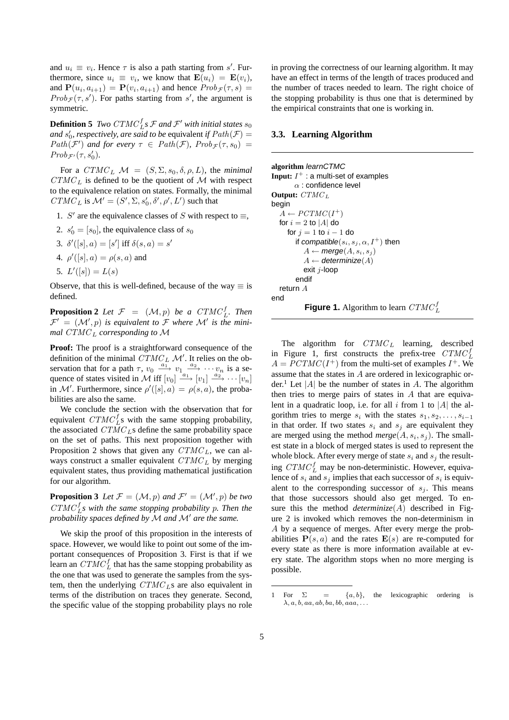and  $u_i \equiv v_i$ . Hence  $\tau$  is also a path starting from s'. Furthermore, since  $u_i \equiv v_i$ , we know that  $\mathbf{E}(u_i) = \mathbf{E}(v_i)$ , and  $P(u_i, a_{i+1}) = P(v_i, a_{i+1})$  and hence  $Prob_{\mathcal{F}}(\tau, s) =$ Pro $b_{\mathcal{F}}(\tau, s')$ . For paths starting from s', the argument is symmetric.

**Definition 5** *Two CTMC*<sup> $f$ </sup><sub>L</sub>s  $\mathcal F$  *and*  $\mathcal F'$  *with initial states*  $s_0$ *and*  $s'_0$ , respectively, are said to be equivalent *if*  $Path(\mathcal{F}) =$  $Path(\mathcal{F}')$  and for every  $\tau \in Path(\mathcal{F})$ ,  $Prob_{\mathcal{F}}(\tau, s_0)$  =  $Prob_{\mathcal{F}'}(\tau, s'_0)$ .

For a  $CTMC<sub>L</sub>$   $\mathcal{M} = (S, \Sigma, s_0, \delta, \rho, L)$ , the *minimal*  $CTMC<sub>L</sub>$  is defined to be the quotient of M with respect to the equivalence relation on states. Formally, the minimal  $CTMC_L$  is  $\mathcal{M}' = (S', \Sigma, s'_0, \delta', \rho', L')$  such that

- 1. S' are the equivalence classes of S with respect to  $\equiv$ ,
- 2.  $s'_0 = [s_0]$ , the equivalence class of  $s_0$
- 3.  $\delta'([s], a) = [s']$  iff  $\delta(s, a) = s'$
- 4.  $\rho'([s], a) = \rho(s, a)$  and
- 5.  $L'([s]) = L(s)$

Observe, that this is well-defined, because of the way  $\equiv$  is defined.

**Proposition 2** Let  $\mathcal{F}$  =  $(\mathcal{M}, p)$  be a  $CTMC_L^f$ . Then  $\mathcal{F}' = (\mathcal{M}', p)$  is equivalent to  $\mathcal F$  where  $\mathcal M'$  is the mini*mal* CTMC <sup>L</sup> *corresponding to* M

**Proof:** The proof is a straightforward consequence of the definition of the minimal  $CTMC<sub>L</sub> M'$ . It relies on the observation that for a path  $\tau$ ,  $v_0 \xrightarrow{a_1} v_1 \xrightarrow{a_2} \cdots v_n$  is a sequence of states visited in M iff  $[v_0] \stackrel{a_1}{\longrightarrow} [v_1] \stackrel{a_2}{\longrightarrow} \cdots [v_n]$ in M'. Furthermore, since  $\rho'([s], a) = \rho(s, a)$ , the probabilities are also the same.

We conclude the section with the observation that for equivalent  $CTMC_{L}^{f}$ s with the same stopping probability, the associated  $CTMC<sub>LS</sub>$  define the same probability space on the set of paths. This next proposition together with Proposition 2 shows that given any  $CTMC<sub>L</sub>$ , we can always construct a smaller equivalent  $CTMC<sub>L</sub>$  by merging equivalent states, thus providing mathematical justification for our algorithm.

**Proposition 3** Let  $\mathcal{F} = (\mathcal{M}, p)$  and  $\mathcal{F}' = (\mathcal{M}', p)$  be two  $CTMC<sup>f</sup><sub>L</sub>s$  with the same stopping probability p. Then the *probability spaces defined by*  $M$  *and*  $M'$  *are the same.* 

We skip the proof of this proposition in the interests of space. However, we would like to point out some of the important consequences of Proposition 3. First is that if we learn an  $CTMC<sub>L</sub><sup>f</sup>$  that has the same stopping probability as the one that was used to generate the samples from the system, then the underlying  $CTMC<sub>L</sub>$ s are also equivalent in terms of the distribution on traces they generate. Second, the specific value of the stopping probability plays no role

in proving the correctness of our learning algorithm. It may have an effect in terms of the length of traces produced and the number of traces needed to learn. The right choice of the stopping probability is thus one that is determined by the empirical constraints that one is working in.

### **3.3. Learning Algorithm**

**algorithm** learnCTMC  $\mathbf{Input:} \ I^{+}:\ \mathbf{a} \ \mathsf{multi-set} \ \mathsf{of} \ \mathsf{examples}$  $\alpha$  : confidence level **Output:** CTMC<sub>L</sub> begin  $A \leftarrow PCTMC(I^+)$ for  $i = 2$  to |A| do for  $j = 1$  to  $i - 1$  do if compatible( $s_i, s_j, \alpha, I^+$ ) then  $A \leftarrow \text{merge}(A, s_i, s_j)$  $A \leftarrow$  determinize(A) exit j-loop endif return A end **Figure 1.** Algorithm to learn  $CTMC_L^f$ 

The algorithm for  $CTMC<sub>L</sub>$  learning, described in Figure 1, first constructs the prefix-tree  $CTMC_L^f$  $A = PCTMC(I^+)$  from the multi-set of examples  $I^+$ . We assume that the states in A are ordered in lexicographic order.<sup>1</sup> Let |A| be the number of states in A. The algorithm then tries to merge pairs of states in  $A$  that are equivalent in a quadratic loop, i.e. for all i from 1 to |A| the algorithm tries to merge  $s_i$  with the states  $s_1, s_2, \ldots, s_{i-1}$ in that order. If two states  $s_i$  and  $s_j$  are equivalent they are merged using the method  $merge(A, s_i, s_j)$ . The smallest state in a block of merged states is used to represent the whole block. After every merge of state  $s_i$  and  $s_j$  the resulting  $CTMC<sub>L</sub><sup>f</sup>$  may be non-deterministic. However, equivalence of  $s_i$  and  $s_j$  implies that each successor of  $s_i$  is equivalent to the corresponding successor of  $s_i$ . This means that those successors should also get merged. To ensure this the method *determinize*(A) described in Figure 2 is invoked which removes the non-determinism in A by a sequence of merges. After every merge the probabilities  $P(s, a)$  and the rates  $E(s)$  are re-computed for every state as there is more information available at every state. The algorithm stops when no more merging is possible.

<sup>1</sup> For  $\Sigma = \{a, b\}$ , the lexicographic ordering is  $\lambda, a, b, aa, ab, ba, bb, aaa, \ldots$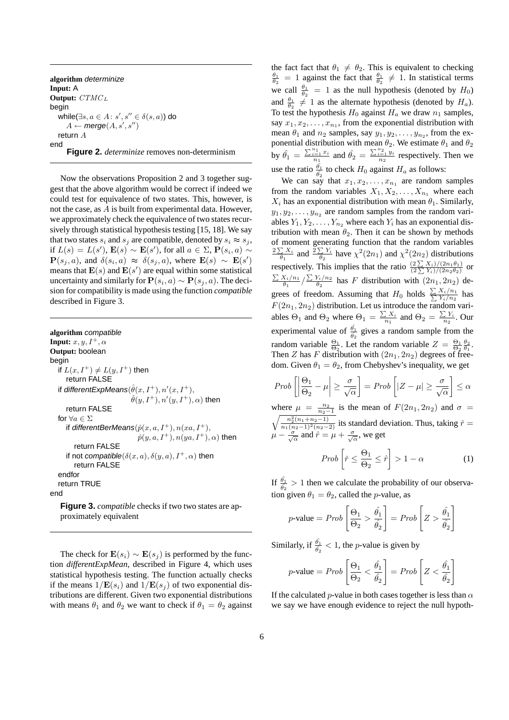**algorithm** determinize **Input:** A **Output:** CTMC<sub>L</sub> begin while $(\exists s, a \in A : s', s'' \in \delta(s, a))$  do  $A \leftarrow \text{merge}(A, s', s'')$ return A end

**Figure 2.** *determinize* removes non-determinism

Now the observations Proposition 2 and 3 together suggest that the above algorithm would be correct if indeed we could test for equivalence of two states. This, however, is not the case, as A is built from experimental data. However, we approximately check the equivalence of two states recursively through statistical hypothesis testing [15, 18]. We say that two states  $s_i$  and  $s_j$  are compatible, denoted by  $s_i \approx s_j$ , if  $L(s) = L(s')$ ,  $\mathbf{E}(s) \sim \mathbf{E}(s')$ , for all  $a \in \Sigma$ ,  $\mathbf{P}(s_i, a) \sim$  $\mathbf{P}(s_j, a)$ , and  $\delta(s_i, a) \approx \delta(s_j, a)$ , where  $\mathbf{E}(s) \sim \mathbf{E}(s')$ means that  $\mathbf{E}(s)$  and  $\mathbf{E}(s')$  are equal within some statistical uncertainty and similarly for  ${\bf P}(s_i, a) \sim {\bf P}(s_j, a)$ . The decision for compatibility is made using the function *compatible* described in Figure 3.

**algorithm** compatible **Input:**  $x, y, I^+, \alpha$ **Output:** boolean begin if  $L(x, I^+) \neq L(y, I^+)$  then return FALSE if differentExpMeans $(\hat{\theta}(x,I^+), n'(x,I^+),$  $\hat{\theta}(y, I^+), n'(y, I^+), \alpha)$  then return FALSE for  $\forall a \in \Sigma$ if differentBerMeans( $\hat{p}(x, a, I^+), n(xa, I^+),$  $\hat{p}(y, a, I^+), n(ya, I^+), \alpha)$  then return FALSE if not compatible( $\delta(x, a)$ ,  $\delta(y, a)$ ,  $I^+$ ,  $\alpha$ ) then return FALSE endfor return TRUE end

**Figure 3.** *compatible* checks if two two states are approximately equivalent

The check for  $\mathbf{E}(s_i) \sim \mathbf{E}(s_j)$  is performed by the function *differentExpMean*, described in Figure 4, which uses statistical hypothesis testing. The function actually checks if the means  $1/\mathbf{E}(s_i)$  and  $1/\mathbf{E}(s_i)$  of two exponential distributions are different. Given two exponential distributions with means  $\theta_1$  and  $\theta_2$  we want to check if  $\theta_1 = \theta_2$  against the fact fact that  $\theta_1 \neq \theta_2$ . This is equivalent to checking  $\frac{\theta_1}{\theta_2}$  = 1 against the fact that  $\frac{\theta_1}{\theta_2} \neq 1$ . In statistical terms we call  $\frac{\theta_1}{\theta_2} = 1$  as the null hypothesis (denoted by  $H_0$ ) and  $\frac{\theta_1}{\theta_2} \neq 1$  as the alternate hypothesis (denoted by  $H_a$ ). To test the hypothesis  $H_0$  against  $H_a$  we draw  $n_1$  samples, say  $x_1, x_2, \ldots, x_{n_1}$ , from the exponential distribution with mean  $\theta_1$  and  $n_2$  samples, say  $y_1, y_2, \ldots, y_{n_2}$ , from the exponential distribution with mean  $\theta_2$ . We estimate  $\theta_1$  and  $\theta_2$ by  $\hat{\theta}_1 = \frac{\sum_{i=1}^{n_1} x_i}{n_1}$  and  $\hat{\theta}_2 = \frac{\sum_{i=1}^{n_2} y_i}{n_2}$  respectively. Then we use the ratio  $\frac{\hat{\theta_1}}{\hat{\theta_2}}$  to check  $H_0$  against  $H_a$  as follows:

We can say that  $x_1, x_2, \ldots, x_{n_1}$  are random samples from the random variables  $X_1, X_2, \ldots, X_{n_1}$  where each  $X_i$  has an exponential distribution with mean  $\theta_1$ . Similarly,  $y_1, y_2, \ldots, y_{n_2}$  are random samples from the random variables  $Y_1, Y_2, \ldots, Y_n$ , where each  $Y_i$  has an exponential distribution with mean  $\theta_2$ . Then it can be shown by methods of moment generating function that the random variables  $2 \sum X_i$  $\frac{\sum X_i}{\theta_1}$  and  $\frac{2\sum Y_i}{\theta_2}$  $\frac{2 \sum X_i}{\theta_1}$  and  $\frac{2 \sum Y_i}{\theta_2}$  have  $\chi^2(2n_1)$  and  $\chi^2(2n_2)$  distributions respectively. This implies that the ratio  $\frac{(2 \sum X_i)/(2n_1\theta_1)}{(2 \sum Y_i)/(2n_2\theta_2)}$  or  $\sum X_i/n_1$  $\frac{X_i/n_1}{\theta_1}/\frac{\sum Y_i/n_2}{\theta_2}$  $\frac{Y_i/n_2}{\theta_2}$  has F distribution with  $(2n_1, 2n_2)$  degrees of freedom. Assuming that  $H_0$  holds  $\sum_{n=1}^{\infty}$  $\sum X_i/n_1$  $\frac{\Lambda_i/n_1}{Y_i/n_2}$  has  $F(2n_1, 2n_2)$  distribution. Let us introduce the random variables  $\Theta_1$  and  $\Theta_2$  where  $\Theta_1 = \frac{\sum X_i}{n_1}$  $\frac{\sum X_i}{n_1}$  and  $\Theta_2 = \frac{\sum Y_i}{n_2}$  $\frac{r_i}{n_2}$ . Our experimental value of  $\frac{\hat{\theta_1}}{\hat{\theta_2}}$  gives a random sample from the random variable  $\frac{\Theta_1}{\Theta_2}$ . Let the random variable  $Z = \frac{\Theta_1}{\Theta_2} \frac{\theta_2}{\theta_1}$ . Then Z has F distribution with  $(2n_1, 2n_2)$  degrees of freedom. Given  $\theta_1 = \theta_2$ , from Chebyshev's inequality, we get

$$
Prob\left[\left|\frac{\Theta_1}{\Theta_2} - \mu\right| \ge \frac{\sigma}{\sqrt{\alpha}}\right] = Prob\left[|Z - \mu| \ge \frac{\sigma}{\sqrt{\alpha}}\right] \le \alpha
$$

where  $\mu = \frac{n_2}{n_2-1}$  is the mean of  $F(2n_1, 2n_2)$  and  $\sigma = \sqrt{\frac{n_2^2(n_1+n_2-1)}{n_1(n_2-1)^2(n_2-2)}}$  its standard deviation. Thus, taking  $\tilde{r} =$  $\mu - \frac{\sigma}{\sqrt{\alpha}}$  and  $\hat{r} = \mu + \frac{\sigma}{\sqrt{\alpha}}$ , we get

$$
Prob\left[\check{r} \leq \frac{\Theta_1}{\Theta_2} \leq \hat{r}\right] > 1 - \alpha \tag{1}
$$

If  $\frac{\hat{\theta_1}}{\hat{\theta_2}} > 1$  then we calculate the probability of our observation given  $\theta_1 = \theta_2$ , called the *p*-value, as

$$
p\text{-value} = Prob\left[\frac{\Theta_1}{\Theta_2} > \frac{\hat{\theta_1}}{\hat{\theta_2}}\right] = Prob\left[Z > \frac{\hat{\theta_1}}{\hat{\theta_2}}\right]
$$

Similarly, if  $\frac{\hat{\theta_1}}{\hat{\theta_2}} < 1$ , the *p*-value is given by

$$
p\text{-value} = Prob\left[\frac{\Theta_1}{\Theta_2} < \frac{\hat{\theta_1}}{\hat{\theta_2}}\right] = Prob\left[Z < \frac{\hat{\theta_1}}{\hat{\theta_2}}\right]
$$

If the calculated p-value in both cases together is less than  $\alpha$ we say we have enough evidence to reject the null hypoth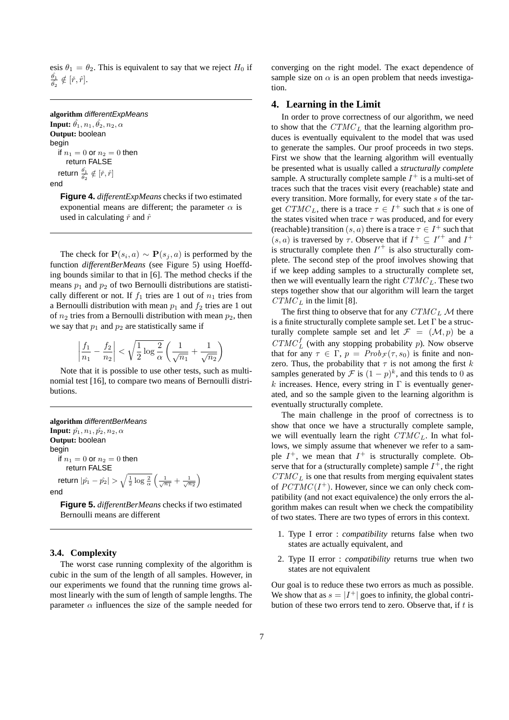esis  $\theta_1 = \theta_2$ . This is equivalent to say that we reject  $H_0$  if  $\hat{\theta_1}$  $\frac{\theta_1}{\hat{\theta_2}} \notin [\check{r}, \hat{r}].$ 

## **algorithm** differentExpMeans

**Input:**  $\hat{\theta_1}, n_1, \hat{\theta_2}, n_2, \alpha$ **Output:** boolean begin if  $n_1 = 0$  or  $n_2 = 0$  then return FALSE return  $\frac{\hat{\theta_1}}{\hat{\theta_2}} \notin [\v{r}, \hat{r}]$ end

> **Figure 4.** *differentExpMeans* checks if two estimated exponential means are different; the parameter  $\alpha$  is used in calculating  $\tilde{r}$  and  $\hat{r}$

The check for  $P(s_i, a) \sim P(s_j, a)$  is performed by the function *differentBerMeans* (see Figure 5) using Hoeffding bounds similar to that in [6]. The method checks if the means  $p_1$  and  $p_2$  of two Bernoulli distributions are statistically different or not. If  $f_1$  tries are 1 out of  $n_1$  tries from a Bernoulli distribution with mean  $p_1$  and  $f_2$  tries are 1 out of  $n_2$  tries from a Bernoulli distribution with mean  $p_2$ , then we say that  $p_1$  and  $p_2$  are statistically same if

$$
\left|\frac{f_1}{n_1} - \frac{f_2}{n_2}\right| < \sqrt{\frac{1}{2} \log \frac{2}{\alpha}} \left(\frac{1}{\sqrt{n_1}} + \frac{1}{\sqrt{n_2}}\right)
$$

Note that it is possible to use other tests, such as multinomial test [16], to compare two means of Bernoulli distributions.

**algorithm** differentBerMeans **Input:**  $\hat{p}_1, n_1, \hat{p}_2, n_2, \alpha$ **Output:** boolean begin if  $n_1 = 0$  or  $n_2 = 0$  then return FALSE return  $|\hat{p_1}-\hat{p_2}|>$  $\sqrt{\frac{1}{2} \log \frac{2}{\alpha}}$  $\overline{a}$  $\frac{1}{\sqrt{n_1}} + \frac{1}{\sqrt{n_2}}$ end

**Figure 5.** *differentBerMeans* checks if two estimated Bernoulli means are different

´

## **3.4. Complexity**

The worst case running complexity of the algorithm is cubic in the sum of the length of all samples. However, in our experiments we found that the running time grows almost linearly with the sum of length of sample lengths. The parameter  $\alpha$  influences the size of the sample needed for

converging on the right model. The exact dependence of sample size on  $\alpha$  is an open problem that needs investigation.

## **4. Learning in the Limit**

In order to prove correctness of our algorithm, we need to show that the  $CTMC<sub>L</sub>$  that the learning algorithm produces is eventually equivalent to the model that was used to generate the samples. Our proof proceeds in two steps. First we show that the learning algorithm will eventually be presented what is usually called a *structurally complete* sample. A structurally complete sample  $I^+$  is a multi-set of traces such that the traces visit every (reachable) state and every transition. More formally, for every state s of the target  $CTMC<sub>L</sub>$ , there is a trace  $\tau \in I^+$  such that s is one of the states visited when trace  $\tau$  was produced, and for every (reachable) transition  $(s, a)$  there is a trace  $\tau \in I^+$  such that  $(s, a)$  is traversed by  $\tau$ . Observe that if  $I^+ \subseteq I'^+$  and  $I^+$ is structurally complete then  $I'^+$  is also structurally complete. The second step of the proof involves showing that if we keep adding samples to a structurally complete set, then we will eventually learn the right  $CTMC<sub>L</sub>$ . These two steps together show that our algorithm will learn the target  $CTMC<sub>L</sub>$  in the limit [8].

The first thing to observe that for any  $CTMC_L \mathcal{M}$  there is a finite structurally complete sample set. Let  $\Gamma$  be a structurally complete sample set and let  $\mathcal{F} = (\mathcal{M}, p)$  be a  $CTMC<sub>L</sub><sup>f</sup>$  (with any stopping probability p). Now observe that for any  $\tau \in \Gamma$ ,  $p = Prob_{\mathcal{F}}(\tau, s_0)$  is finite and nonzero. Thus, the probability that  $\tau$  is not among the first k samples generated by  $\mathcal F$  is  $(1-p)^k$ , and this tends to 0 as k increases. Hence, every string in  $\Gamma$  is eventually generated, and so the sample given to the learning algorithm is eventually structurally complete.

The main challenge in the proof of correctness is to show that once we have a structurally complete sample, we will eventually learn the right  $CTMC_L$ . In what follows, we simply assume that whenever we refer to a sample  $I^+$ , we mean that  $I^+$  is structurally complete. Observe that for a (structurally complete) sample  $I^+$ , the right  $CTMC<sub>L</sub>$  is one that results from merging equivalent states of  $PCTMC(I^+)$ . However, since we can only check compatibility (and not exact equivalence) the only errors the algorithm makes can result when we check the compatibility of two states. There are two types of errors in this context.

- 1. Type I error : *compatibility* returns false when two states are actually equivalent, and
- 2. Type II error : *compatibility* returns true when two states are not equivalent

Our goal is to reduce these two errors as much as possible. We show that as  $s = |I^+|$  goes to infinity, the global contribution of these two errors tend to zero. Observe that, if  $t$  is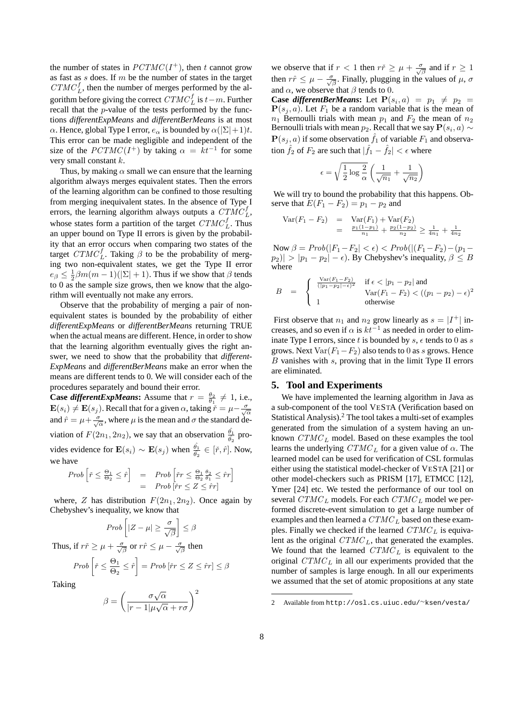the number of states in  $PCTMC(I^+)$ , then t cannot grow as fast as  $s$  does. If  $m$  be the number of states in the target  $CTMC<sub>L</sub><sup>f</sup>$ , then the number of merges performed by the algorithm before giving the correct  $CTMC_L^f$  is  $t-m$ . Further recall that the p-value of the tests performed by the functions *differentExpMeans* and *differentBerMeans* is at most  $\alpha$ . Hence, global Type I error,  $e_{\alpha}$  is bounded by  $\alpha(|\Sigma|+1)t$ . This error can be made negligible and independent of the size of the  $PCTMC(I^+)$  by taking  $\alpha = kt^{-1}$  for some very small constant k.

Thus, by making  $\alpha$  small we can ensure that the learning algorithm always merges equivalent states. Then the errors of the learning algorithm can be confined to those resulting from merging inequivalent states. In the absence of Type I errors, the learning algorithm always outputs a  $CTMC<sub>L</sub><sup>f</sup>$ , whose states form a partition of the target  $CTMC<sub>L</sub><sup>f</sup>$ . Thus an upper bound on Type II errors is given by the probability that an error occurs when comparing two states of the target  $CTMC<sub>L</sub><sup>f</sup>$ . Taking  $\beta$  to be the probability of merging two non-equivalent states, we get the Type II error  $e_{\beta} \leq \frac{1}{2}\beta m(m-1)(|\Sigma|+1)$ . Thus if we show that  $\beta$  tends to 0 as the sample size grows, then we know that the algorithm will eventually not make any errors.

Observe that the probability of merging a pair of nonequivalent states is bounded by the probability of either *differentExpMeans* or *differentBerMeans* returning TRUE when the actual means are different. Hence, in order to show that the learning algorithm eventually gives the right answer, we need to show that the probability that *different-ExpMeans* and *differentBerMeans* make an error when the means are different tends to 0. We will consider each of the procedures separately and bound their error.

**Case** *differentExpMeans***:** Assume that  $r = \frac{\theta_2}{\theta_1} \neq 1$ , i.e.,  $\mathbf{E}(s_i) \neq \mathbf{E}(s_j)$ . Recall that for a given  $\alpha$ , taking  $\dot{r} = \mu - \frac{\sigma}{\sqrt{\alpha}}$ and  $\hat{r} = \mu + \frac{\sigma}{\sqrt{\alpha}}$ , where  $\mu$  is the mean and  $\sigma$  the standard deviation of  $F(2n_1, 2n_2)$ , we say that an observation  $\frac{\hat{\theta_1}}{\hat{\theta_2}}$  provides evidence for  $\mathbf{E}(s_i) \sim \mathbf{E}(s_j)$  when  $\frac{\hat{\theta_1}}{\hat{\theta_2}} \in [\tilde{r}, \hat{r}]$ . Now, we have i i

*Prob* 
$$
\left[\tilde{r} \leq \frac{\Theta_1}{\Theta_2} \leq \hat{r}\right]
$$
 = *Prob*  $\left[\tilde{r}r \leq \frac{\Theta_1}{\Theta_2} \frac{\theta_2}{\theta_1} \leq \hat{r}r\right]$   
 = *Prob*  $\left[\tilde{r}r \leq Z \leq \hat{r}r\right]$ 

where, Z has distribution  $F(2n_1, 2n_2)$ . Once again by Chebyshev's inequality, we know that ¸

$$
Prob\left[|Z-\mu|\geq \frac{\sigma}{\sqrt{\beta}}\right] \leq \beta
$$

Thus, if  $r\check{r} \geq \mu + \frac{\sigma}{\sqrt{\beta}}$  or  $r\hat{r} \leq \mu - \frac{\sigma}{\sqrt{\beta}}$  then

$$
Prob\left[\tilde{r} \leq \frac{\Theta_1}{\Theta_2} \leq \hat{r}\right] = Prob\left[\tilde{r}r \leq Z \leq \hat{r}r\right] \leq \beta
$$

Taking

$$
\beta = \left(\frac{\sigma\sqrt{\alpha}}{|r-1|\mu\sqrt{\alpha}+r\sigma}\right)^2
$$

we observe that if  $r < 1$  then  $r \ge \mu + \frac{\sigma}{\sqrt{\beta}}$  and if  $r \ge 1$ then  $r\hat{r} \leq \mu - \frac{\sigma}{\sqrt{\beta}}$ . Finally, plugging in the values of  $\mu$ ,  $\sigma$ and  $\alpha$ , we observe that  $\beta$  tends to 0.

**Case** differentBerMeans: Let  $P(s_i, a) = p_1 \neq p_2$  $P(s_i, a)$ . Let  $F_1$  be a random variable that is the mean of  $n_1$  Bernoulli trials with mean  $p_1$  and  $F_2$  the mean of  $n_2$ Bernoulli trials with mean  $p_2.$  Recall that we say  $\mathbf{P}(s_i, a) \sim$  $P(s_i, a)$  if some observation  $\hat{f}_1$  of variable  $F_1$  and observation  $\hat{f}_2$  of  $F_2$  are such that  $|\hat{f}_1 - \hat{f}_2| < \epsilon$  where

$$
\epsilon = \sqrt{\frac{1}{2} \log \frac{2}{\alpha}} \left( \frac{1}{\sqrt{n_1}} + \frac{1}{\sqrt{n_2}} \right)
$$

We will try to bound the probability that this happens. Observe that  $E(F_1 - F_2) = p_1 - p_2$  and

$$
\begin{array}{rcl}\n\text{Var}(F_1 - F_2) & = & \text{Var}(F_1) + \text{Var}(F_2) \\
& = & \frac{p_1(1 - p_1)}{n_1} + \frac{p_2(1 - p_2)}{n_2} \ge \frac{1}{4n_1} + \frac{1}{4n_2}\n\end{array}
$$

Now  $\beta = Prob(|F_1 - F_2| < \epsilon) < Prob(|(F_1 - F_2) - (p_1 |p_2| > |p_1 - p_2| - \epsilon$ . By Chebyshev's inequality,  $\beta \leq B$ where

$$
B = \begin{cases} \frac{\text{Var}(F_1 - F_2)}{(|p_1 - p_2| - \epsilon)^2} & \text{if } \epsilon < |p_1 - p_2| \text{ and} \\ \text{Var}(F_1 - F_2) < ((p_1 - p_2) - \epsilon)^2 \\ 1 & \text{otherwise} \end{cases}
$$

First observe that  $n_1$  and  $n_2$  grow linearly as  $s = |I^+|$  increases, and so even if  $\alpha$  is  $kt^{-1}$  as needed in order to eliminate Type I errors, since t is bounded by  $s$ ,  $\epsilon$  tends to 0 as s grows. Next  $Var(F_1-F_2)$  also tends to 0 as s grows. Hence  $B$  vanishes with  $s$ , proving that in the limit Type II errors are eliminated.

### **5. Tool and Experiments**

We have implemented the learning algorithm in Java as a sub-component of the tool VESTA (Verification based on Statistical Analysis).<sup>2</sup> The tool takes a multi-set of examples generated from the simulation of a system having an unknown  $CTMC<sub>L</sub>$  model. Based on these examples the tool learns the underlying  $CTMC<sub>L</sub>$  for a given value of  $\alpha$ . The learned model can be used for verification of CSL formulas either using the statistical model-checker of VESTA [21] or other model-checkers such as PRISM [17], ETMCC [12], Ymer [24] etc. We tested the performance of our tool on several  $CTMC_L$  models. For each  $CTMC_L$  model we performed discrete-event simulation to get a large number of examples and then learned a  $CTMC<sub>L</sub>$  based on these examples. Finally we checked if the learned  $CTMC<sub>L</sub>$  is equivalent as the original  $CTMC<sub>L</sub>$ , that generated the examples. We found that the learned  $CTMC<sub>L</sub>$  is equivalent to the original  $CTMC<sub>L</sub>$  in all our experiments provided that the number of samples is large enough. In all our experiments we assumed that the set of atomic propositions at any state

<sup>2</sup> Available from http://osl.cs.uiuc.edu/∼ksen/vesta/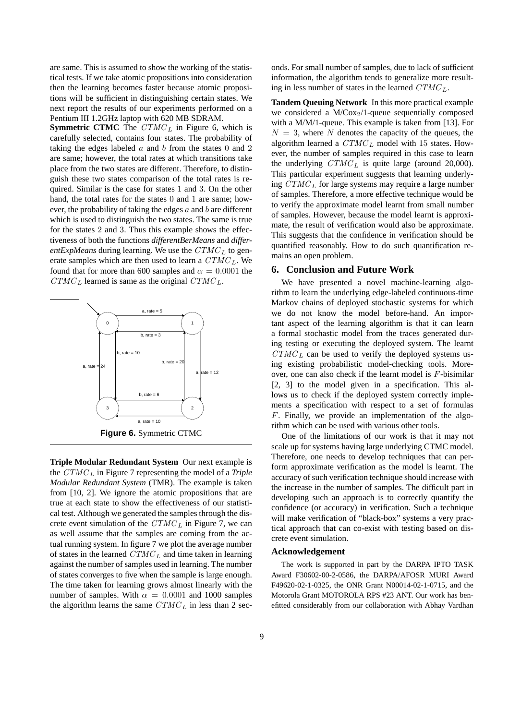are same. This is assumed to show the working of the statistical tests. If we take atomic propositions into consideration then the learning becomes faster because atomic propositions will be sufficient in distinguishing certain states. We next report the results of our experiments performed on a Pentium III 1.2GHz laptop with 620 MB SDRAM.

**Symmetric CTMC** The  $CTMC<sub>L</sub>$  in Figure 6, which is carefully selected, contains four states. The probability of taking the edges labeled  $a$  and  $b$  from the states 0 and 2 are same; however, the total rates at which transitions take place from the two states are different. Therefore, to distinguish these two states comparison of the total rates is required. Similar is the case for states 1 and 3. On the other hand, the total rates for the states 0 and 1 are same; however, the probability of taking the edges  $a$  and  $b$  are different which is used to distinguish the two states. The same is true for the states 2 and 3. Thus this example shows the effectiveness of both the functions *differentBerMeans* and *differ* $entExpMeans$  during learning. We use the  $CTMC<sub>L</sub>$  to generate samples which are then used to learn a  $CTMC<sub>L</sub>$ . We found that for more than 600 samples and  $\alpha = 0.0001$  the  $CTMC<sub>L</sub>$  learned is same as the original  $CTMC<sub>L</sub>$ .



**Triple Modular Redundant System** Our next example is the CTMC <sup>L</sup> in Figure 7 representing the model of a *Triple Modular Redundant System* (TMR). The example is taken from [10, 2]. We ignore the atomic propositions that are true at each state to show the effectiveness of our statistical test. Although we generated the samples through the discrete event simulation of the  $CTMC<sub>L</sub>$  in Figure 7, we can as well assume that the samples are coming from the actual running system. In figure 7 we plot the average number of states in the learned  $CTMC<sub>L</sub>$  and time taken in learning against the number of samples used in learning. The number of states converges to five when the sample is large enough. The time taken for learning grows almost linearly with the number of samples. With  $\alpha = 0.0001$  and 1000 samples the algorithm learns the same  $CTMC<sub>L</sub>$  in less than 2 seconds. For small number of samples, due to lack of sufficient information, the algorithm tends to generalize more resulting in less number of states in the learned  $CTMC_L$ .

**Tandem Queuing Network** In this more practical example we considered a  $M/Cox_2/1$ -queue sequentially composed with a M/M/1-queue. This example is taken from [13]. For  $N = 3$ , where N denotes the capacity of the queues, the algorithm learned a  $CTMC<sub>L</sub>$  model with 15 states. However, the number of samples required in this case to learn the underlying  $CTMC<sub>L</sub>$  is quite large (around 20,000). This particular experiment suggests that learning underlying  $CTMC<sub>L</sub>$  for large systems may require a large number of samples. Therefore, a more effective technique would be to verify the approximate model learnt from small number of samples. However, because the model learnt is approximate, the result of verification would also be approximate. This suggests that the confidence in verification should be quantified reasonably. How to do such quantification remains an open problem.

### **6. Conclusion and Future Work**

We have presented a novel machine-learning algorithm to learn the underlying edge-labeled continuous-time Markov chains of deployed stochastic systems for which we do not know the model before-hand. An important aspect of the learning algorithm is that it can learn a formal stochastic model from the traces generated during testing or executing the deployed system. The learnt  $CTMC<sub>L</sub>$  can be used to verify the deployed systems using existing probabilistic model-checking tools. Moreover, one can also check if the learnt model is F-bisimilar [2, 3] to the model given in a specification. This allows us to check if the deployed system correctly implements a specification with respect to a set of formulas F. Finally, we provide an implementation of the algorithm which can be used with various other tools.

One of the limitations of our work is that it may not scale up for systems having large underlying CTMC model. Therefore, one needs to develop techniques that can perform approximate verification as the model is learnt. The accuracy of such verification technique should increase with the increase in the number of samples. The difficult part in developing such an approach is to correctly quantify the confidence (or accuracy) in verification. Such a technique will make verification of "black-box" systems a very practical approach that can co-exist with testing based on discrete event simulation.

### **Acknowledgement**

The work is supported in part by the DARPA IPTO TASK Award F30602-00-2-0586, the DARPA/AFOSR MURI Award F49620-02-1-0325, the ONR Grant N00014-02-1-0715, and the Motorola Grant MOTOROLA RPS #23 ANT. Our work has benefitted considerably from our collaboration with Abhay Vardhan